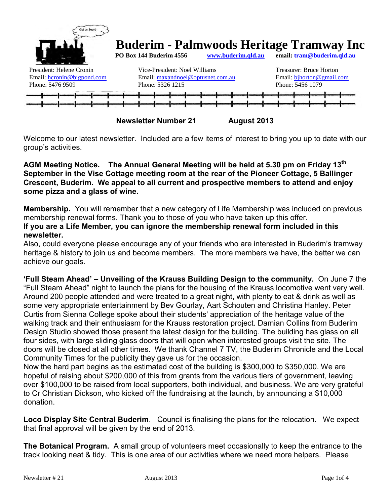

**Newsletter Number 21** August 2013

Welcome to our latest newsletter. Included are a few items of interest to bring you up to date with our group's activities.

### **AGM Meeting Notice. The Annual General Meeting will be held at 5.30 pm on Friday 13th September in the Vise Cottage meeting room at the rear of the Pioneer Cottage, 5 Ballinger Crescent, Buderim. We appeal to all current and prospective members to attend and enjoy some pizza and a glass of wine.**

**Membership.** You will remember that a new category of Life Membership was included on previous membership renewal forms. Thank you to those of you who have taken up this offer. **If you are a Life Member, you can ignore the membership renewal form included in this newsletter.** 

Also, could everyone please encourage any of your friends who are interested in Buderim's tramway heritage & history to join us and become members. The more members we have, the better we can achieve our goals.

**'Full Steam Ahead' – Unveiling of the Krauss Building Design to the community.** On June 7 the "Full Steam Ahead" night to launch the plans for the housing of the Krauss locomotive went very well. Around 200 people attended and were treated to a great night, with plenty to eat & drink as well as some very appropriate entertainment by Bev Gourlay, Aart Schouten and Christina Hanley. Peter Curtis from Sienna College spoke about their students' appreciation of the heritage value of the walking track and their enthusiasm for the Krauss restoration project. Damian Collins from Buderim Design Studio showed those present the latest design for the building. The building has glass on all four sides, with large sliding glass doors that will open when interested groups visit the site. The doors will be closed at all other times. We thank Channel 7 TV, the Buderim Chronicle and the Local Community Times for the publicity they gave us for the occasion.

Now the hard part begins as the estimated cost of the building is \$300,000 to \$350,000. We are hopeful of raising about \$200,000 of this from grants from the various tiers of government, leaving over \$100,000 to be raised from local supporters, both individual, and business. We are very grateful to Cr Christian Dickson, who kicked off the fundraising at the launch, by announcing a \$10,000 donation.

**Loco Display Site Central Buderim**. Council is finalising the plans for the relocation. We expect that final approval will be given by the end of 2013.

**The Botanical Program.** A small group of volunteers meet occasionally to keep the entrance to the track looking neat & tidy. This is one area of our activities where we need more helpers. Please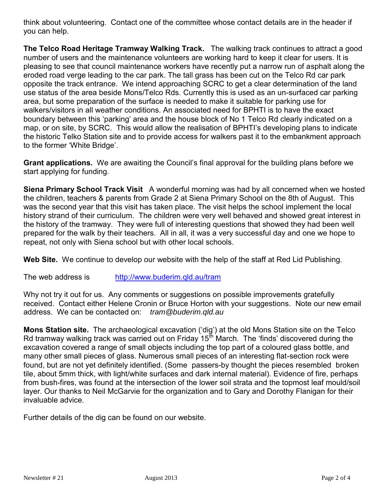think about volunteering. Contact one of the committee whose contact details are in the header if you can help.

**The Telco Road Heritage Tramway Walking Track.** The walking track continues to attract a good number of users and the maintenance volunteers are working hard to keep it clear for users. It is pleasing to see that council maintenance workers have recently put a narrow run of asphalt along the eroded road verge leading to the car park. The tall grass has been cut on the Telco Rd car park opposite the track entrance. We intend approaching SCRC to get a clear determination of the land use status of the area beside Mons/Telco Rds. Currently this is used as an un-surfaced car parking area, but some preparation of the surface is needed to make it suitable for parking use for walkers/visitors in all weather conditions. An associated need for BPHTI is to have the exact boundary between this 'parking' area and the house block of No 1 Telco Rd clearly indicated on a map, or on site, by SCRC. This would allow the realisation of BPHTI's developing plans to indicate the historic Telko Station site and to provide access for walkers past it to the embankment approach to the former 'White Bridge'.

**Grant applications.** We are awaiting the Council's final approval for the building plans before we start applying for funding.

**Siena Primary School Track Visit** A wonderful morning was had by all concerned when we hosted the children, teachers & parents from Grade 2 at Siena Primary School on the 8th of August. This was the second year that this visit has taken place. The visit helps the school implement the local history strand of their curriculum. The children were very well behaved and showed great interest in the history of the tramway. They were full of interesting questions that showed they had been well prepared for the walk by their teachers. All in all, it was a very successful day and one we hope to repeat, not only with Siena school but with other local schools.

**Web Site.** We continue to develop our website with the help of the staff at Red Lid Publishing.

The web address is <http://www.buderim.qld.au/tram>

Why not try it out for us. Any comments or suggestions on possible improvements gratefully received. Contact either Helene Cronin or Bruce Horton with your suggestions. Note our new email address. We can be contacted on: *tram@buderim.qld.au*

**Mons Station site.** The archaeological excavation ('dig') at the old Mons Station site on the Telco Rd tramway walking track was carried out on Friday 15<sup>th</sup> March. The 'finds' discovered during the excavation covered a range of small objects including the top part of a coloured glass bottle, and many other small pieces of glass. Numerous small pieces of an interesting flat-section rock were found, but are not yet definitely identified. (Some passers-by thought the pieces resembled broken tile, about 5mm thick, with light/white surfaces and dark internal material). Evidence of fire, perhaps from bush-fires, was found at the intersection of the lower soil strata and the topmost leaf mould/soil layer. Our thanks to Neil McGarvie for the organization and to Gary and Dorothy Flanigan for their invaluable advice.

Further details of the dig can be found on our website.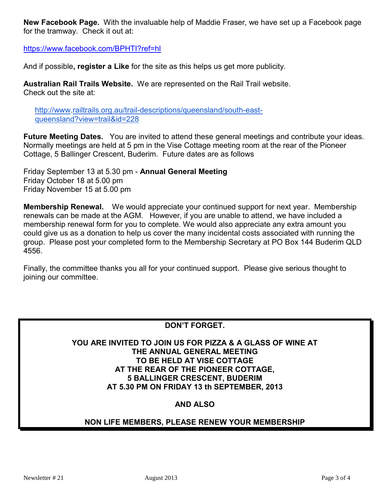**New Facebook Page.** With the invaluable help of Maddie Fraser, we have set up a Facebook page for the tramway. Check it out at:

<https://www.facebook.com/BPHTI?ref=hl>

And if possible**, register a Like** for the site as this helps us get more publicity.

**Australian Rail Trails Website.** We are represented on the Rail Trail website. Check out the site at:

[http://www.](http://www/)[railtrails.org.au/trail-descriptions/queensland/south-east](http://railtrails.org.au/trail-descriptions/queensland/south-east-queensland?view=trail&id=228)[queensland?view=trail&id=228](http://railtrails.org.au/trail-descriptions/queensland/south-east-queensland?view=trail&id=228)

**Future Meeting Dates.** You are invited to attend these general meetings and contribute your ideas. Normally meetings are held at 5 pm in the Vise Cottage meeting room at the rear of the Pioneer Cottage, 5 Ballinger Crescent, Buderim. Future dates are as follows

Friday September 13 at 5.30 pm - **Annual General Meeting** Friday October 18 at 5.00 pm Friday November 15 at 5.00 pm

**Membership Renewal.** We would appreciate your continued support for next year. Membership renewals can be made at the AGM. However, if you are unable to attend, we have included a membership renewal form for you to complete. We would also appreciate any extra amount you could give us as a donation to help us cover the many incidental costs associated with running the group. Please post your completed form to the Membership Secretary at PO Box 144 Buderim QLD 4556.

Finally, the committee thanks you all for your continued support. Please give serious thought to joining our committee.

### **DON'T FORGET.**

**YOU ARE INVITED TO JOIN US FOR PIZZA & A GLASS OF WINE AT THE ANNUAL GENERAL MEETING TO BE HELD AT VISE COTTAGE AT THE REAR OF THE PIONEER COTTAGE, 5 BALLINGER CRESCENT, BUDERIM AT 5.30 PM ON FRIDAY 13 th SEPTEMBER, 2013** 

## **AND ALSO**

### **NON LIFE MEMBERS, PLEASE RENEW YOUR MEMBERSHIP**